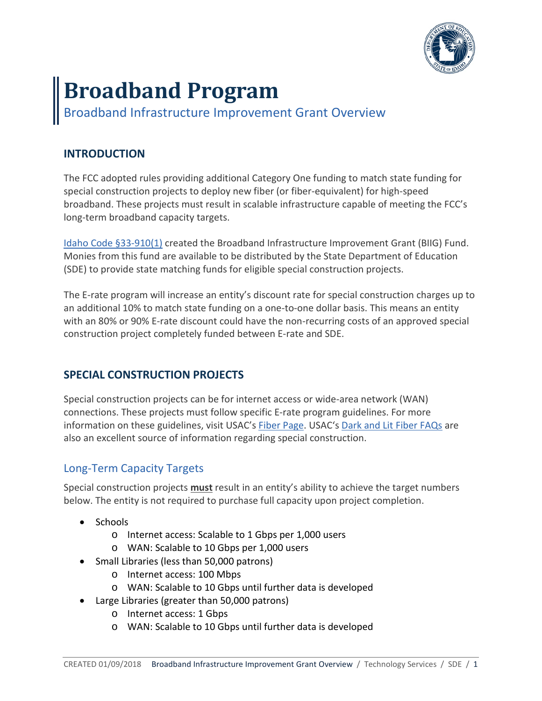

# **Broadband Program**

Broadband Infrastructure Improvement Grant Overview

### **INTRODUCTION**

The FCC adopted rules providing additional Category One funding to match state funding for special construction projects to deploy new fiber (or fiber-equivalent) for high-speed broadband. These projects must result in scalable infrastructure capable of meeting the FCC's long-term broadband capacity targets.

[Idaho Code §33-910\(1\)](https://legislature.idaho.gov/statutesrules/idstat/Title33/T33CH9/SECT33-910/) created the Broadband Infrastructure Improvement Grant (BIIG) Fund. Monies from this fund are available to be distributed by the State Department of Education (SDE) to provide state matching funds for eligible special construction projects.

The E-rate program will increase an entity's discount rate for special construction charges up to an additional 10% to match state funding on a one-to-one dollar basis. This means an entity with an 80% or 90% E-rate discount could have the non-recurring costs of an approved special construction project completely funded between E-rate and SDE.

## **SPECIAL CONSTRUCTION PROJECTS**

Special construction projects can be for internet access or wide-area network (WAN) connections. These projects must follow specific E-rate program guidelines. For more information on these guidelines, visit USAC's [Fiber Page.](http://www.usac.org/sl/applicants/beforeyoubegin/fiber.aspx) USAC's [Dark and Lit Fiber FAQs](http://www.usac.org/sl/about/faqs/faqs-fiber.aspx) are also an excellent source of information regarding special construction.

### Long-Term Capacity Targets

Special construction projects **must** result in an entity's ability to achieve the target numbers below. The entity is not required to purchase full capacity upon project completion.

- Schools
	- o Internet access: Scalable to 1 Gbps per 1,000 users
	- o WAN: Scalable to 10 Gbps per 1,000 users
- Small Libraries (less than 50,000 patrons)
	- o Internet access: 100 Mbps
	- o WAN: Scalable to 10 Gbps until further data is developed
- Large Libraries (greater than 50,000 patrons)
	- o Internet access: 1 Gbps
	- o WAN: Scalable to 10 Gbps until further data is developed